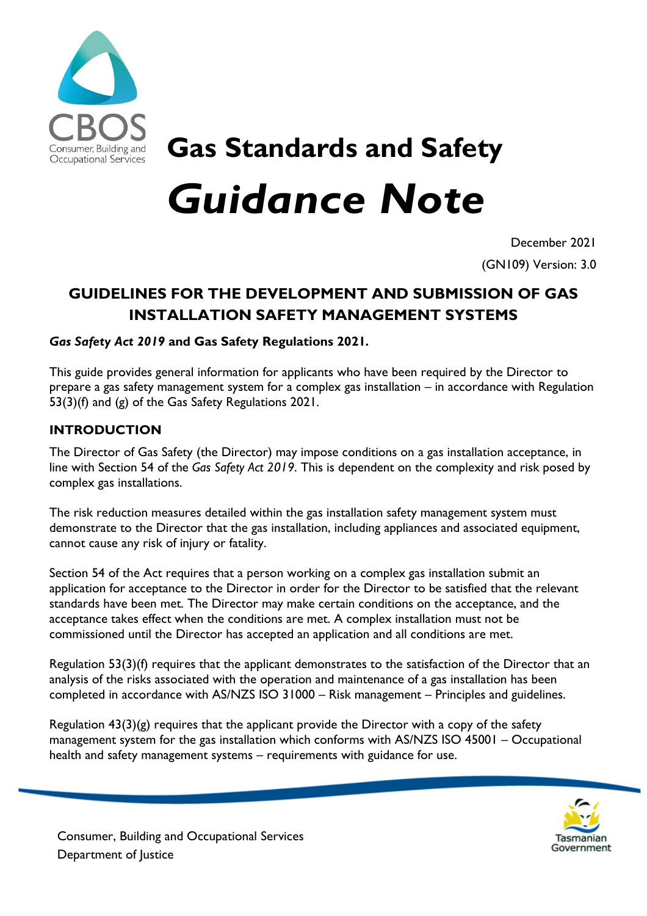

# **Gas Standards and Safety** *Guidance Note*

December 2021

(GN109) Version: 3.0

## **GUIDELINES FOR THE DEVELOPMENT AND SUBMISSION OF GAS INSTALLATION SAFETY MANAGEMENT SYSTEMS**

## *Gas Safety Act 2019* **and Gas Safety Regulations 2021***.*

This guide provides general information for applicants who have been required by the Director to prepare a gas safety management system for a complex gas installation – in accordance with Regulation 53(3)(f) and (g) of the Gas Safety Regulations 2021.

## **INTRODUCTION**

The Director of Gas Safety (the Director) may impose conditions on a gas installation acceptance, in line with Section 54 of the *Gas Safety Act 2019*. This is dependent on the complexity and risk posed by complex gas installations.

The risk reduction measures detailed within the gas installation safety management system must demonstrate to the Director that the gas installation, including appliances and associated equipment, cannot cause any risk of injury or fatality.

Section 54 of the Act requires that a person working on a complex gas installation submit an application for acceptance to the Director in order for the Director to be satisfied that the relevant standards have been met. The Director may make certain conditions on the acceptance, and the acceptance takes effect when the conditions are met. A complex installation must not be commissioned until the Director has accepted an application and all conditions are met.

Regulation 53(3)(f) requires that the applicant demonstrates to the satisfaction of the Director that an analysis of the risks associated with the operation and maintenance of a gas installation has been completed in accordance with AS/NZS ISO 31000 – Risk management – Principles and guidelines.

Regulation  $43(3)(g)$  requires that the applicant provide the Director with a copy of the safety management system for the gas installation which conforms with AS/NZS ISO 45001 – Occupational health and safety management systems – requirements with guidance for use.



Consumer, Building and Occupational Services Department of Justice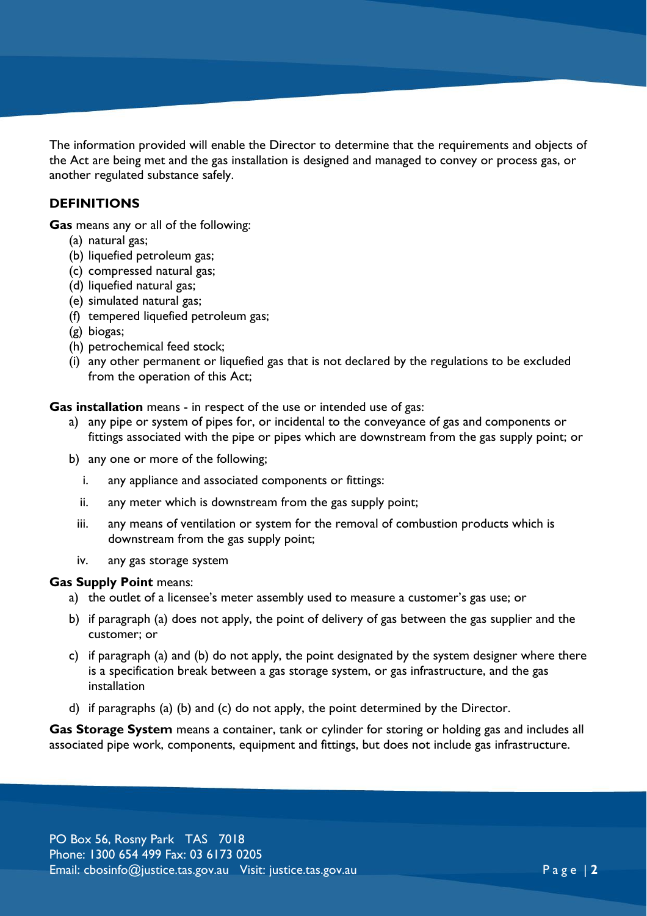The information provided will enable the Director to determine that the requirements and objects of the Act are being met and the gas installation is designed and managed to convey or process gas, or another regulated substance safely.

## **DEFINITIONS**

**Gas** means any or all of the following:

- (a) natural gas;
- (b) liquefied petroleum gas;
- (c) compressed natural gas;
- (d) liquefied natural gas;
- (e) simulated natural gas;
- (f) tempered liquefied petroleum gas;
- (g) biogas;
- (h) petrochemical feed stock;
- (i) any other permanent or liquefied gas that is not declared by the regulations to be excluded from the operation of this Act;

**Gas installation** means - in respect of the use or intended use of gas:

- a) any pipe or system of pipes for, or incidental to the conveyance of gas and components or fittings associated with the pipe or pipes which are downstream from the gas supply point; or
- b) any one or more of the following;
	- i. any appliance and associated components or fittings:
	- ii. any meter which is downstream from the gas supply point;
	- iii. any means of ventilation or system for the removal of combustion products which is downstream from the gas supply point;
	- iv. any gas storage system

#### **Gas Supply Point** means:

- a) the outlet of a licensee's meter assembly used to measure a customer's gas use; or
- b) if paragraph (a) does not apply, the point of delivery of gas between the gas supplier and the customer; or
- c) if paragraph (a) and (b) do not apply, the point designated by the system designer where there is a specification break between a gas storage system, or gas infrastructure, and the gas installation
- d) if paragraphs (a) (b) and (c) do not apply, the point determined by the Director.

**Gas Storage System** means a container, tank or cylinder for storing or holding gas and includes all associated pipe work, components, equipment and fittings, but does not include gas infrastructure.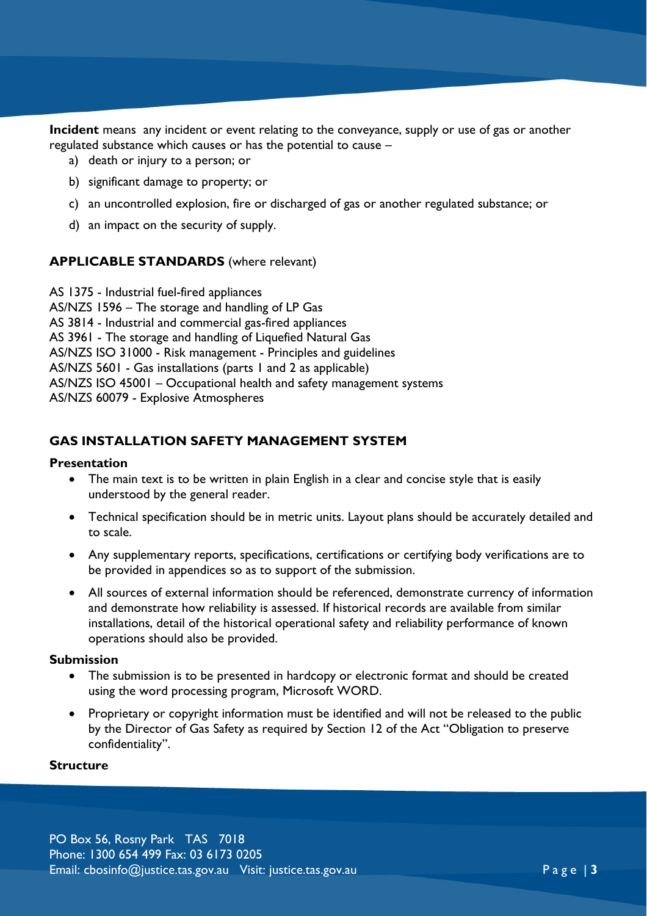**Incident** means any incident or event relating to the conveyance, supply or use of gas or another regulated substance which causes or has the potential to cause –

- a) death or injury to a person; or
- b) significant damage to property; or
- c) an uncontrolled explosion, fire or discharged of gas or another regulated substance; or
- d) an impact on the security of supply.

#### **APPLICABLE STANDARDS** (where relevant)

AS 1375 - Industrial fuel-fired appliances AS/NZS 1596 – The storage and handling of LP Gas AS 3814 - Industrial and commercial gas-fired appliances AS 3961 - The storage and handling of Liquefied Natural Gas AS/NZS ISO 31000 - Risk management - Principles and guidelines AS/NZS 5601 - Gas installations (parts 1 and 2 as applicable) AS/NZS ISO 45001 – Occupational health and safety management systems AS/NZS 60079 - Explosive Atmospheres

#### **GAS INSTALLATION SAFETY MANAGEMENT SYSTEM**

#### **Presentation**

- The main text is to be written in plain English in a clear and concise style that is easily understood by the general reader.
- Technical specification should be in metric units. Layout plans should be accurately detailed and to scale.
- Any supplementary reports, specifications, certifications or certifying body verifications are to be provided in appendices so as to support of the submission.
- All sources of external information should be referenced, demonstrate currency of information and demonstrate how reliability is assessed. If historical records are available from similar installations, detail of the historical operational safety and reliability performance of known operations should also be provided.

#### **Submission**

- The submission is to be presented in hardcopy or electronic format and should be created using the word processing program, Microsoft WORD.
- Proprietary or copyright information must be identified and will not be released to the public by the Director of Gas Safety as required by Section 12 of the Act "Obligation to preserve confidentiality".

#### **Structure**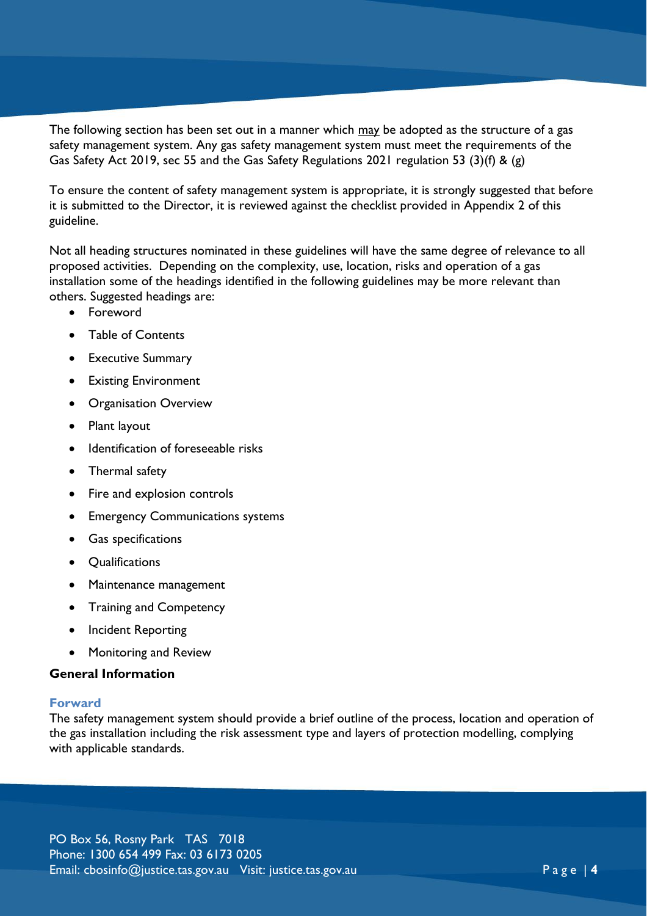The following section has been set out in a manner which may be adopted as the structure of a gas safety management system. Any gas safety management system must meet the requirements of the Gas Safety Act 2019, sec 55 and the Gas Safety Regulations 2021 regulation 53 (3)(f) & (g)

To ensure the content of safety management system is appropriate, it is strongly suggested that before it is submitted to the Director, it is reviewed against the checklist provided in Appendix 2 of this guideline.

Not all heading structures nominated in these guidelines will have the same degree of relevance to all proposed activities. Depending on the complexity, use, location, risks and operation of a gas installation some of the headings identified in the following guidelines may be more relevant than others. Suggested headings are:

- Foreword
- Table of Contents
- **•** Executive Summary
- **•** Existing Environment
- **•** Organisation Overview
- Plant layout
- Identification of foreseeable risks
- Thermal safety
- Fire and explosion controls
- Emergency Communications systems
- Gas specifications
- **Qualifications**
- Maintenance management
- Training and Competency
- Incident Reporting
- Monitoring and Review

#### **General Information**

#### **Forward**

The safety management system should provide a brief outline of the process, location and operation of the gas installation including the risk assessment type and layers of protection modelling, complying with applicable standards.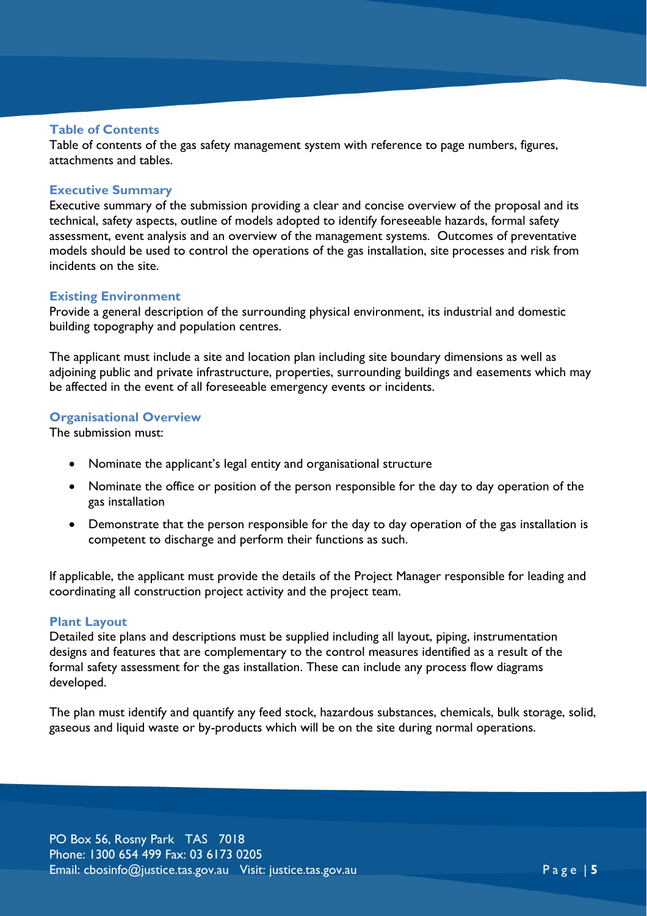#### **Table of Contents**

Table of contents of the gas safety management system with reference to page numbers, figures, attachments and tables.

#### **Executive Summary**

Executive summary of the submission providing a clear and concise overview of the proposal and its technical, safety aspects, outline of models adopted to identify foreseeable hazards, formal safety assessment, event analysis and an overview of the management systems. Outcomes of preventative models should be used to control the operations of the gas installation, site processes and risk from incidents on the site.

#### **Existing Environment**

Provide a general description of the surrounding physical environment, its industrial and domestic building topography and population centres.

The applicant must include a site and location plan including site boundary dimensions as well as adjoining public and private infrastructure, properties, surrounding buildings and easements which may be affected in the event of all foreseeable emergency events or incidents.

#### **Organisational Overview**

The submission must:

- Nominate the applicant's legal entity and organisational structure
- Nominate the office or position of the person responsible for the day to day operation of the gas installation
- Demonstrate that the person responsible for the day to day operation of the gas installation is competent to discharge and perform their functions as such.

If applicable, the applicant must provide the details of the Project Manager responsible for leading and coordinating all construction project activity and the project team.

#### **Plant Layout**

Detailed site plans and descriptions must be supplied including all layout, piping, instrumentation designs and features that are complementary to the control measures identified as a result of the formal safety assessment for the gas installation. These can include any process flow diagrams developed.

The plan must identify and quantify any feed stock, hazardous substances, chemicals, bulk storage, solid, gaseous and liquid waste or by-products which will be on the site during normal operations.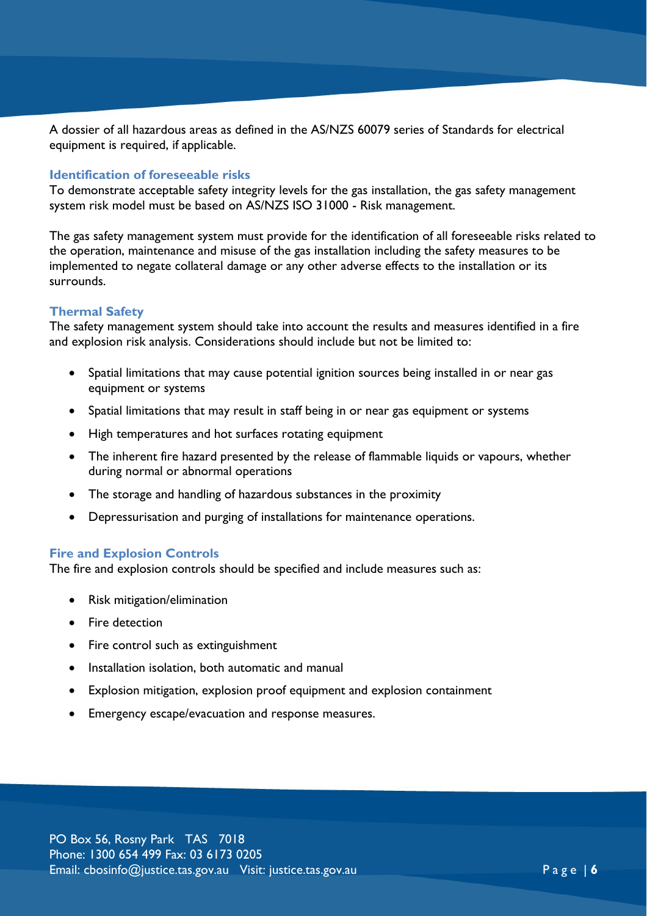A dossier of all hazardous areas as defined in the AS/NZS 60079 series of Standards for electrical equipment is required, if applicable.

#### **Identification of foreseeable risks**

To demonstrate acceptable safety integrity levels for the gas installation, the gas safety management system risk model must be based on AS/NZS ISO 31000 - Risk management.

The gas safety management system must provide for the identification of all foreseeable risks related to the operation, maintenance and misuse of the gas installation including the safety measures to be implemented to negate collateral damage or any other adverse effects to the installation or its surrounds.

#### **Thermal Safety**

The safety management system should take into account the results and measures identified in a fire and explosion risk analysis. Considerations should include but not be limited to:

- Spatial limitations that may cause potential ignition sources being installed in or near gas equipment or systems
- Spatial limitations that may result in staff being in or near gas equipment or systems
- High temperatures and hot surfaces rotating equipment
- The inherent fire hazard presented by the release of flammable liquids or vapours, whether during normal or abnormal operations
- The storage and handling of hazardous substances in the proximity
- Depressurisation and purging of installations for maintenance operations.

#### **Fire and Explosion Controls**

The fire and explosion controls should be specified and include measures such as:

- Risk mitigation/elimination
- Fire detection
- Fire control such as extinguishment
- Installation isolation, both automatic and manual
- Explosion mitigation, explosion proof equipment and explosion containment
- Emergency escape/evacuation and response measures.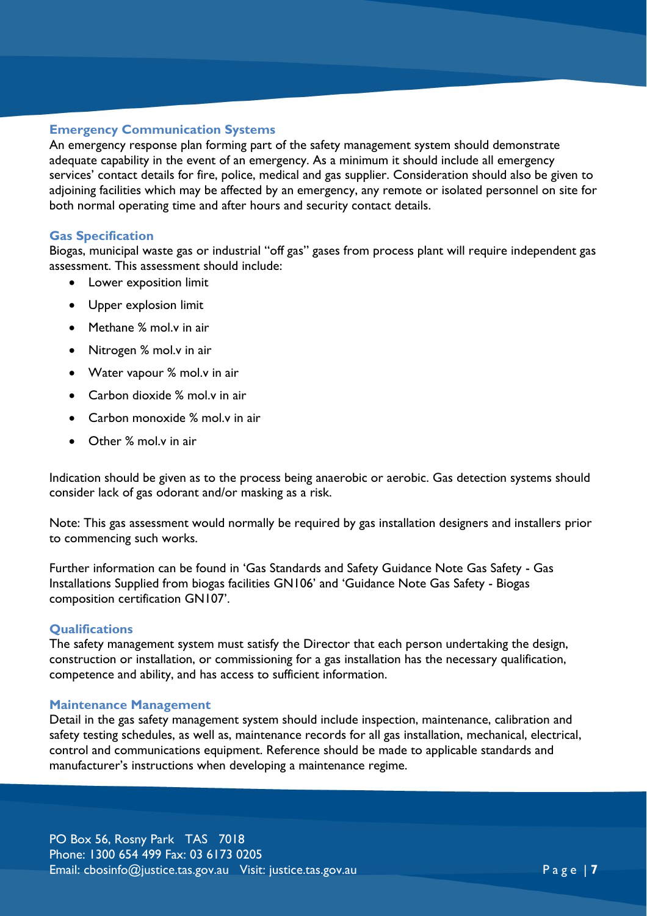#### **Emergency Communication Systems**

An emergency response plan forming part of the safety management system should demonstrate adequate capability in the event of an emergency. As a minimum it should include all emergency services' contact details for fire, police, medical and gas supplier. Consideration should also be given to adjoining facilities which may be affected by an emergency, any remote or isolated personnel on site for both normal operating time and after hours and security contact details.

#### **Gas Specification**

Biogas, municipal waste gas or industrial "off gas" gases from process plant will require independent gas assessment. This assessment should include:

- Lower exposition limit
- Upper explosion limit
- Methane % mol.v in air
- Nitrogen % mol.v in air
- Water vapour % mol.v in air
- Carbon dioxide % mol.y in air
- Carbon monoxide % mol.v in air
- Other % mol.v in air

Indication should be given as to the process being anaerobic or aerobic. Gas detection systems should consider lack of gas odorant and/or masking as a risk.

Note: This gas assessment would normally be required by gas installation designers and installers prior to commencing such works.

Further information can be found in 'Gas Standards and Safety Guidance Note Gas Safety - Gas Installations Supplied from biogas facilities GN106' and 'Guidance Note Gas Safety - Biogas composition certification GN107'.

#### **Qualifications**

The safety management system must satisfy the Director that each person undertaking the design, construction or installation, or commissioning for a gas installation has the necessary qualification, competence and ability, and has access to sufficient information.

#### **Maintenance Management**

Detail in the gas safety management system should include inspection, maintenance, calibration and safety testing schedules, as well as, maintenance records for all gas installation, mechanical, electrical, control and communications equipment. Reference should be made to applicable standards and manufacturer's instructions when developing a maintenance regime.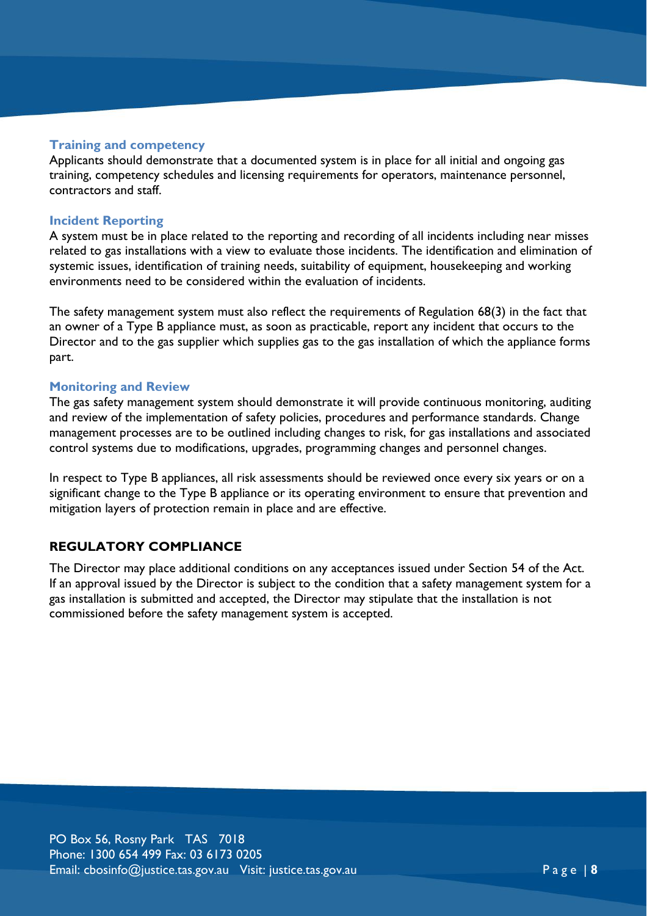#### **Training and competency**

Applicants should demonstrate that a documented system is in place for all initial and ongoing gas training, competency schedules and licensing requirements for operators, maintenance personnel, contractors and staff.

#### **Incident Reporting**

A system must be in place related to the reporting and recording of all incidents including near misses related to gas installations with a view to evaluate those incidents. The identification and elimination of systemic issues, identification of training needs, suitability of equipment, housekeeping and working environments need to be considered within the evaluation of incidents.

The safety management system must also reflect the requirements of Regulation 68(3) in the fact that an owner of a Type B appliance must, as soon as practicable, report any incident that occurs to the Director and to the gas supplier which supplies gas to the gas installation of which the appliance forms part.

#### **Monitoring and Review**

The gas safety management system should demonstrate it will provide continuous monitoring, auditing and review of the implementation of safety policies, procedures and performance standards. Change management processes are to be outlined including changes to risk, for gas installations and associated control systems due to modifications, upgrades, programming changes and personnel changes.

In respect to Type B appliances, all risk assessments should be reviewed once every six years or on a significant change to the Type B appliance or its operating environment to ensure that prevention and mitigation layers of protection remain in place and are effective.

#### **REGULATORY COMPLIANCE**

The Director may place additional conditions on any acceptances issued under Section 54 of the Act. If an approval issued by the Director is subject to the condition that a safety management system for a gas installation is submitted and accepted, the Director may stipulate that the installation is not commissioned before the safety management system is accepted.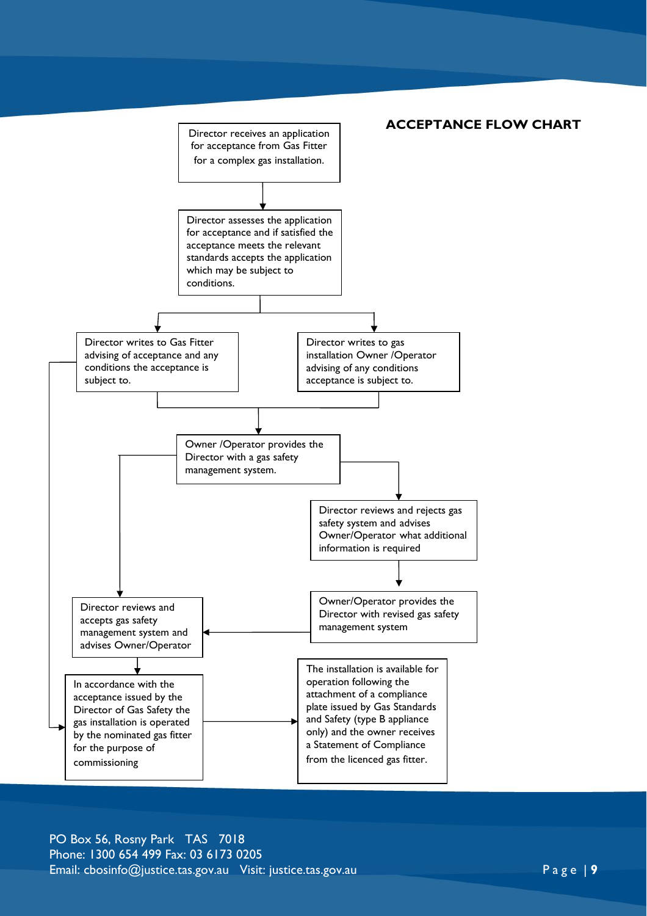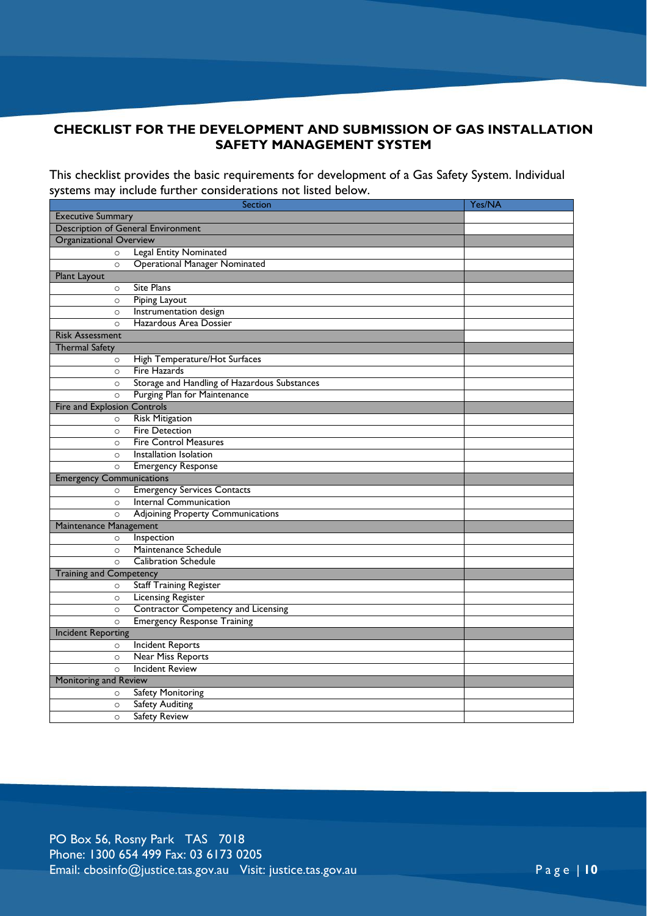## **CHECKLIST FOR THE DEVELOPMENT AND SUBMISSION OF GAS INSTALLATION SAFETY MANAGEMENT SYSTEM**

This checklist provides the basic requirements for development of a Gas Safety System. Individual systems may include further considerations not listed below.

| <b>Section</b>                            |                                              | Yes/NA |
|-------------------------------------------|----------------------------------------------|--------|
| <b>Executive Summary</b>                  |                                              |        |
| <b>Description of General Environment</b> |                                              |        |
| <b>Organizational Overview</b>            |                                              |        |
| $\circ$                                   | <b>Legal Entity Nominated</b>                |        |
| $\circ$                                   | <b>Operational Manager Nominated</b>         |        |
| Plant Layout                              |                                              |        |
| $\circ$                                   | Site Plans                                   |        |
| $\circ$                                   | Piping Layout                                |        |
| $\circ$                                   | Instrumentation design                       |        |
| $\circ$                                   | Hazardous Area Dossier                       |        |
| <b>Risk Assessment</b>                    |                                              |        |
| <b>Thermal Safety</b>                     |                                              |        |
| $\circ$                                   | High Temperature/Hot Surfaces                |        |
| $\circ$                                   | Fire Hazards                                 |        |
| $\circ$                                   | Storage and Handling of Hazardous Substances |        |
| $\circ$                                   | Purging Plan for Maintenance                 |        |
| Controls<br>Fire and Explosion            |                                              |        |
| $\circ$                                   | <b>Risk Mitigation</b>                       |        |
| $\circ$                                   | <b>Fire Detection</b>                        |        |
| $\circ$                                   | <b>Fire Control Measures</b>                 |        |
| $\circ$                                   | Installation Isolation                       |        |
| $\circ$                                   | <b>Emergency Response</b>                    |        |
| <b>Emergency Communications</b>           |                                              |        |
| $\circ$                                   | <b>Emergency Services Contacts</b>           |        |
| $\circ$                                   | <b>Internal Communication</b>                |        |
| $\circ$                                   | <b>Adjoining Property Communications</b>     |        |
| Maintenance Management                    |                                              |        |
| $\circ$                                   | Inspection                                   |        |
| $\circ$                                   | Maintenance Schedule                         |        |
| $\circ$                                   | <b>Calibration Schedule</b>                  |        |
| <b>Training and Competency</b>            |                                              |        |
| $\circ$                                   | <b>Staff Training Register</b>               |        |
| $\circ$                                   | <b>Licensing Register</b>                    |        |
| $\circ$                                   | <b>Contractor Competency and Licensing</b>   |        |
| $\circ$                                   | <b>Emergency Response Training</b>           |        |
| <b>Incident Reporting</b>                 |                                              |        |
| $\circ$                                   | <b>Incident Reports</b>                      |        |
| $\circ$                                   | <b>Near Miss Reports</b>                     |        |
| $\circ$                                   | <b>Incident Review</b>                       |        |
| Monitoring and Review                     |                                              |        |
| $\circ$                                   | Safety Monitoring                            |        |
| $\circ$                                   | <b>Safety Auditing</b>                       |        |
| $\circ$                                   | <b>Safety Review</b>                         |        |